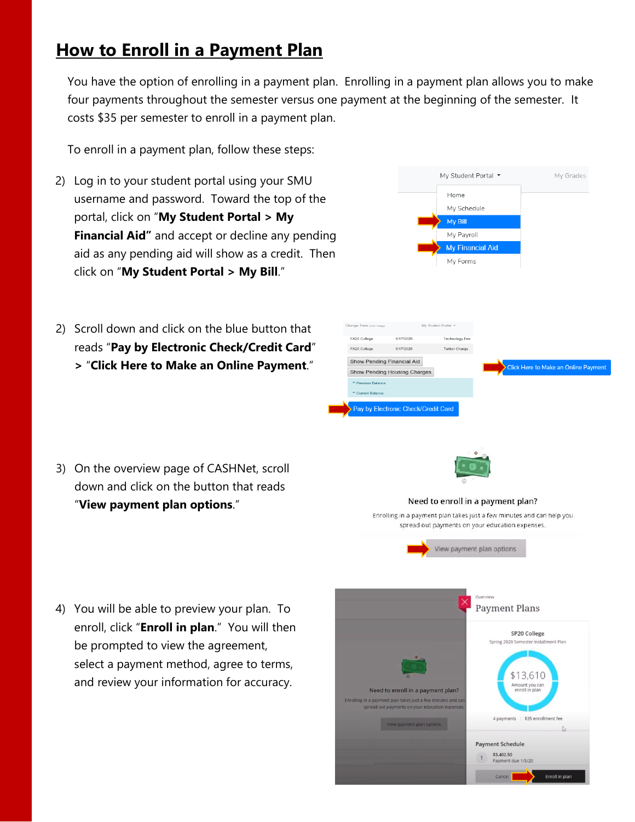## **How to Enroll in a Payment Plan**

You have the option of enrolling in a payment plan. Enrolling in a payment plan allows you to make four payments throughout the semester versus one payment at the beginning of the semester. It costs \$35 per semester to enroll in a payment plan.

To enroll in a payment plan, follow these steps:

- 2) Log in to your student portal using your SMU username and password. Toward the top of the portal, click on "**My Student Portal > My Financial Aid"** and accept or decline any pending aid as any pending aid will show as a credit. Then click on "**My Student Portal > My Bill**."
- 2) Scroll down and click on the blue button that reads "**Pay by Electronic Check/Credit Card**" **>** "**Click Here to Make an Online Payment**."

|                                                                                      |                     | Home<br>My Schedule<br>My Bill<br>My Payroll<br>My Financial Aid<br>My Forms |  |                                             |  |
|--------------------------------------------------------------------------------------|---------------------|------------------------------------------------------------------------------|--|---------------------------------------------|--|
|                                                                                      |                     |                                                                              |  |                                             |  |
|                                                                                      |                     |                                                                              |  |                                             |  |
|                                                                                      |                     |                                                                              |  |                                             |  |
|                                                                                      |                     |                                                                              |  |                                             |  |
|                                                                                      |                     |                                                                              |  |                                             |  |
| Change Term (FA20 College)<br>FA20 College<br>6/17/2020<br>FA20 College<br>6/17/2020 | My Student Portal = | Technology Fee<br><b>Tuition Charge</b>                                      |  |                                             |  |
| Show Pending Financial Aid<br>Show Pending Housing Charges                           |                     |                                                                              |  | <b>Click Here to Make an Online Payment</b> |  |
| ** Previous Balance:                                                                 |                     |                                                                              |  |                                             |  |
| ** Current Balance:                                                                  |                     |                                                                              |  |                                             |  |

3) On the overview page of CASHNet, scroll down and click on the button that reads "**View payment plan options**."



## Need to enroll in a payment plan?

Enrolling in a payment plan takes just a few minutes and can help you spread out payments on your education expenses.



4) You will be able to preview your plan. To enroll, click "**Enroll in plan**." You will then be prompted to view the agreement, select a payment method, agree to terms, and review your information for accuracy.